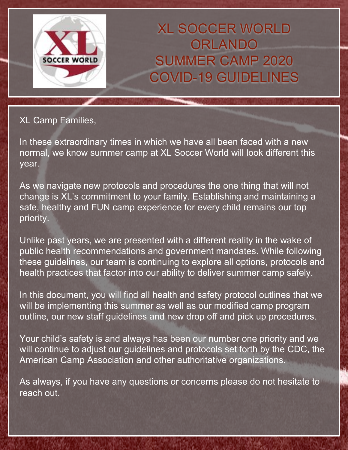

XL SOCCER WORLD ORLANDO SUMMER CAMP 2020 COVID-19 GUIDELINES

### XL Camp Families,

In these extraordinary times in which we have all been faced with a new normal, we know summer camp at XL Soccer World will look different this year.

As we navigate new protocols and procedures the one thing that will not change is XL's commitment to your family. Establishing and maintaining a safe, healthy and FUN camp experience for every child remains our top priority.

Unlike past years, we are presented with a different reality in the wake of public health recommendations and government mandates. While following these guidelines, our team is continuing to explore all options, protocols and health practices that factor into our ability to deliver summer camp safely.

In this document, you will find all health and safety protocol outlines that we will be implementing this summer as well as our modified camp program outline, our new staff guidelines and new drop off and pick up procedures.

Your child's safety is and always has been our number one priority and we will continue to adjust our guidelines and protocols set forth by the CDC, the American Camp Association and other authoritative organizations.

As always, if you have any questions or concerns please do not hesitate to reach out.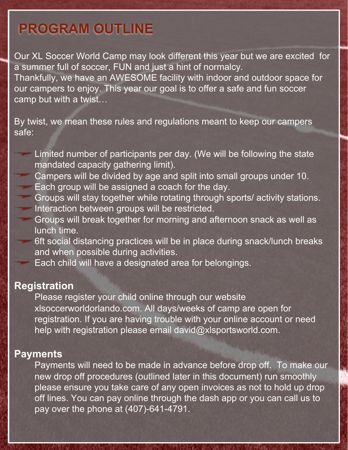## **PROGRAM OUTLINE**

Our XL Soccer World Camp may look different this year but we are excited for a summer full of soccer, FUN and just a hint of normalcy. Thankfully, we have an AWESOME facility with indoor and outdoor space for

our campers to enjoy. This year our goal is to offer a safe and fun soccer camp but with a twist…

By twist, we mean these rules and regulations meant to keep our campers safe:

- Limited number of participants per day. (We will be following the state mandated capacity gathering limit).
- Campers will be divided by age and split into small groups under 10. Each group will be assigned a coach for the day.
- Groups will stay together while rotating through sports/ activity stations. Interaction between groups will be restricted.
- Groups will break together for morning and afternoon snack as well as lunch time.
	- 6ft social distancing practices will be in place during snack/lunch breaks and when possible during activities.
	- Each child will have a designated area for belongings.

### **Registration**

Please register your child online through our website xlsoccerworldorlando.com. All days/weeks of camp are open for registration. If you are having trouble with your online account or need help with registration please email david@xlsportsworld.com.

### **Payments**

Payments will need to be made in advance before drop off. To make our new drop off procedures (outlined later in this document) run smoothly please ensure you take care of any open invoices as not to hold up drop off lines. You can pay online through the dash app or you can call us to pay over the phone at (407)-641-4791.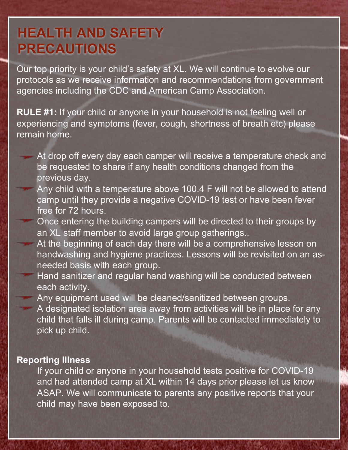### **HEALTH AND SAFETY PRECAUTIONS**

Our top priority is your child's safety at XL. We will continue to evolve our protocols as we receive information and recommendations from government agencies including the CDC and American Camp Association.

**RULE #1:** If your child or anyone in your household is not feeling well or experiencing and symptoms (fever, cough, shortness of breath etc) please remain home.

- At drop off every day each camper will receive a temperature check and be requested to share if any health conditions changed from the previous day.
- Any child with a temperature above 100.4 F will not be allowed to attend camp until they provide a negative COVID-19 test or have been fever free for 72 hours.
- Once entering the building campers will be directed to their groups by an XL staff member to avoid large group gatherings..
- At the beginning of each day there will be a comprehensive lesson on handwashing and hygiene practices. Lessons will be revisited on an asneeded basis with each group.
- Hand sanitizer and regular hand washing will be conducted between each activity.

Any equipment used will be cleaned/sanitized between groups. A designated isolation area away from activities will be in place for any child that falls ill during camp. Parents will be contacted immediately to pick up child.

#### **Reporting Illness**

If your child or anyone in your household tests positive for COVID-19 and had attended camp at XL within 14 days prior please let us know ASAP. We will communicate to parents any positive reports that your child may have been exposed to.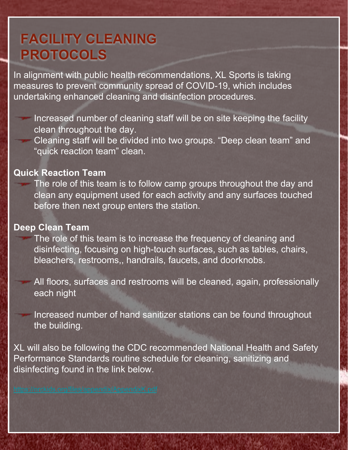# **FACILITY CLEANING PROTOCOLS**

In alignment with public health recommendations, XL Sports is taking measures to prevent community spread of COVID-19, which includes undertaking enhanced cleaning and disinfection procedures.

Increased number of cleaning staff will be on site keeping the facility clean throughout the day.

Cleaning staff will be divided into two groups. "Deep clean team" and "quick reaction team" clean.

#### **Quick Reaction Team**

The role of this team is to follow camp groups throughout the day and clean any equipment used for each activity and any surfaces touched before then next group enters the station.

#### **Deep Clean Team**

The role of this team is to increase the frequency of cleaning and disinfecting, focusing on high-touch surfaces, such as tables, chairs, bleachers, restrooms,, handrails, faucets, and doorknobs.

All floors, surfaces and restrooms will be cleaned, again, professionally each night

Increased number of hand sanitizer stations can be found throughout the building.

XL will also be following the CDC recommended National Health and Safety Performance Standards routine schedule for cleaning, sanitizing and disinfecting found in the link below.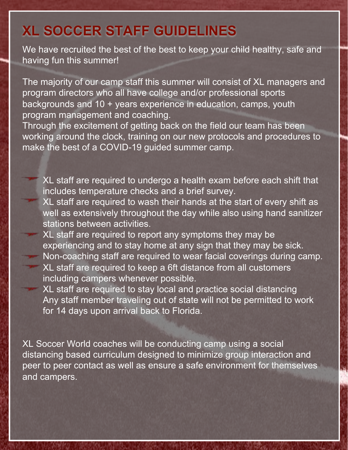### **XL SOCCER STAFF GUIDELINES**

We have recruited the best of the best to keep your child healthy, safe and having fun this summer!

The majority of our camp staff this summer will consist of XL managers and program directors who all have college and/or professional sports backgrounds and 10 + years experience in education, camps, youth program management and coaching.

Through the excitement of getting back on the field our team has been working around the clock, training on our new protocols and procedures to make the best of a COVID-19 guided summer camp.

- XL staff are required to undergo a health exam before each shift that includes temperature checks and a brief survey.
- XL staff are required to wash their hands at the start of every shift as well as extensively throughout the day while also using hand sanitizer stations between activities.
- XL staff are required to report any symptoms they may be experiencing and to stay home at any sign that they may be sick. Non-coaching staff are required to wear facial coverings during camp. XL staff are required to keep a 6ft distance from all customers including campers whenever possible.
	- XL staff are required to stay local and practice social distancing Any staff member traveling out of state will not be permitted to work for 14 days upon arrival back to Florida.

XL Soccer World coaches will be conducting camp using a social distancing based curriculum designed to minimize group interaction and peer to peer contact as well as ensure a safe environment for themselves and campers.